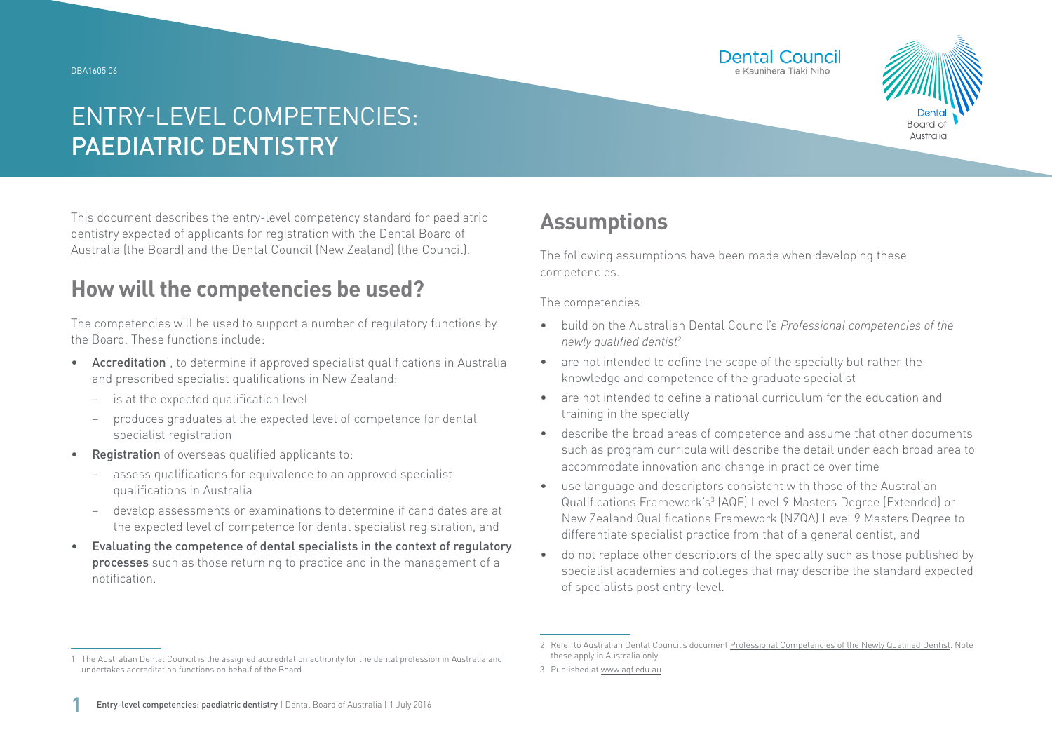#### DBA1605 06





# ENTRY-LEVEL COMPETENCIES: PAEDIATRIC DENTISTRY

This document describes the entry-level competency standard for paediatric dentistry expected of applicants for registration with the Dental Board of Australia (the Board) and the Dental Council (New Zealand) (the Council).

### **How will the competencies be used?**

The competencies will be used to support a number of regulatory functions by the Board. These functions include:

- Accreditation<sup>1</sup>, to determine if approved specialist qualifications in Australia and prescribed specialist qualifications in New Zealand:
	- − is at the expected qualification level
	- − produces graduates at the expected level of competence for dental specialist registration
- Registration of overseas qualified applicants to:
	- assess qualifications for equivalence to an approved specialist qualifications in Australia
	- − develop assessments or examinations to determine if candidates are at the expected level of competence for dental specialist registration, and
- Evaluating the competence of dental specialists in the context of regulatory processes such as those returning to practice and in the management of a notification.

### **Assumptions**

The following assumptions have been made when developing these competencies.

The competencies:

- build on the Australian Dental Council's *Professional competencies of the newly qualified dentist*<sup>2</sup>
- are not intended to define the scope of the specialty but rather the knowledge and competence of the graduate specialist
- are not intended to define a national curriculum for the education and training in the specialty
- describe the broad areas of competence and assume that other documents such as program curricula will describe the detail under each broad area to accommodate innovation and change in practice over time
- use language and descriptors consistent with those of the Australian Qualifications Framework's<sup>3</sup> (AQF) Level 9 Masters Degree (Extended) or New Zealand Qualifications Framework (NZQA) Level 9 Masters Degree to differentiate specialist practice from that of a general dentist, and
- do not replace other descriptors of the specialty such as those published by specialist academies and colleges that may describe the standard expected of specialists post entry-level.

<sup>1</sup> The Australian Dental Council is the assigned accreditation authority for the dental profession in Australia and undertakes accreditation functions on behalf of the Board.

<sup>2</sup> Refer to Australian Dental Council's document [Professional Competencies of the Newly Qualified Dentist.](http://Professional Competencies of the Newly Qualified Dentist) Note these apply in Australia only.

<sup>3</sup> Published at [www.aqf.edu.au](http://www.aqf.edu.au)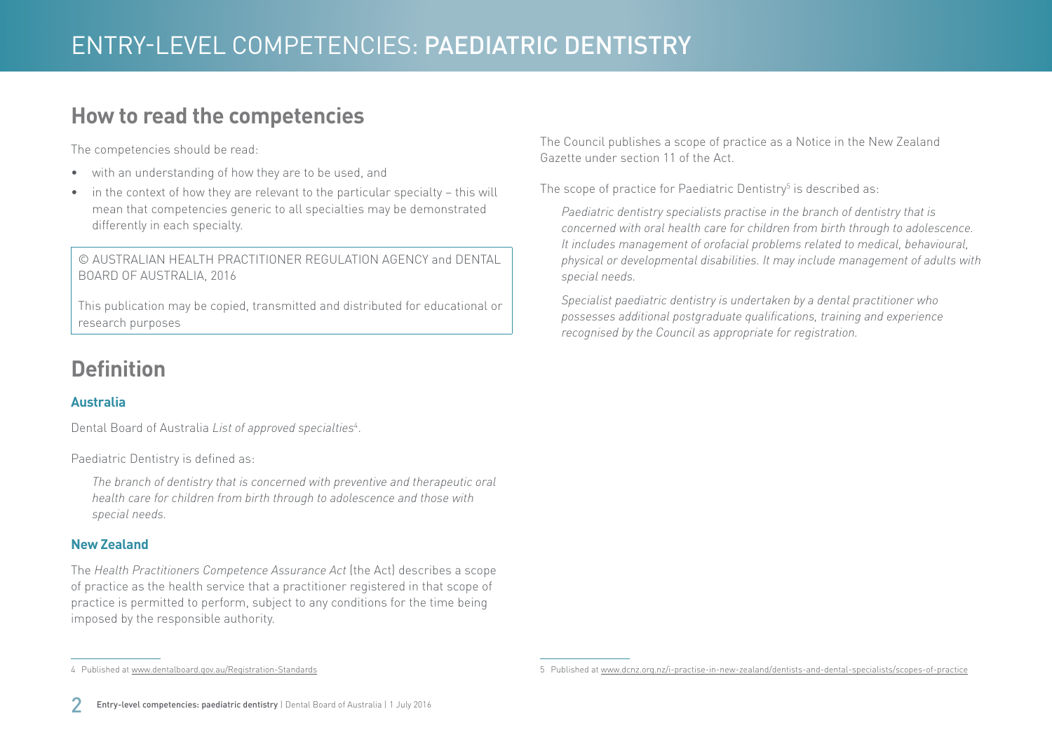### **How to read the competencies**

The competencies should be read:

- with an understanding of how they are to be used, and
- in the context of how they are relevant to the particular specialty this will mean that competencies generic to all specialties may be demonstrated differently in each specialty.

© AUSTRALIAN HEALTH PRACTITIONER REGULATION AGENCY and DENTAL BOARD OF AUSTRALIA, 2016

This publication may be copied, transmitted and distributed for educational or research purposes

## **Definition**

### **Australia**

Dental Board of Australia *List of approved specialties*<sup>4</sup> .

Paediatric Dentistry is defined as:

*The branch of dentistry that is concerned with preventive and therapeutic oral health care for children from birth through to adolescence and those with special needs.*

#### **New Zealand**

The *Health Practitioners Competence Assurance Act* (the Act) describes a scope of practice as the health service that a practitioner registered in that scope of practice is permitted to perform, subject to any conditions for the time being imposed by the responsible authority.

The Council publishes a scope of practice as a Notice in the New Zealand Gazette under section 11 of the Act.

The scope of practice for Paediatric Dentistry $^5$  is described as:

*Paediatric dentistry specialists practise in the branch of dentistry that is concerned with oral health care for children from birth through to adolescence. It includes management of orofacial problems related to medical, behavioural, physical or developmental disabilities. It may include management of adults with special needs.*

*Specialist paediatric dentistry is undertaken by a dental practitioner who possesses additional postgraduate qualifications, training and experience recognised by the Council as appropriate for registration.*

4 Published at [www.dentalboard.gov.au/Registration-Standards](http://www.dentalboard.gov.au/Registration-Standards.aspx)

<sup>5</sup> Published at [www.dcnz.org.nz/i-practise-in-new-zealand/dentists-and-dental-specialists/scopes-of-practice](http://www.dcnz.org.nz/i-practise-in-new-zealand/dentists-and-dental-specialists/scopes-of-practice)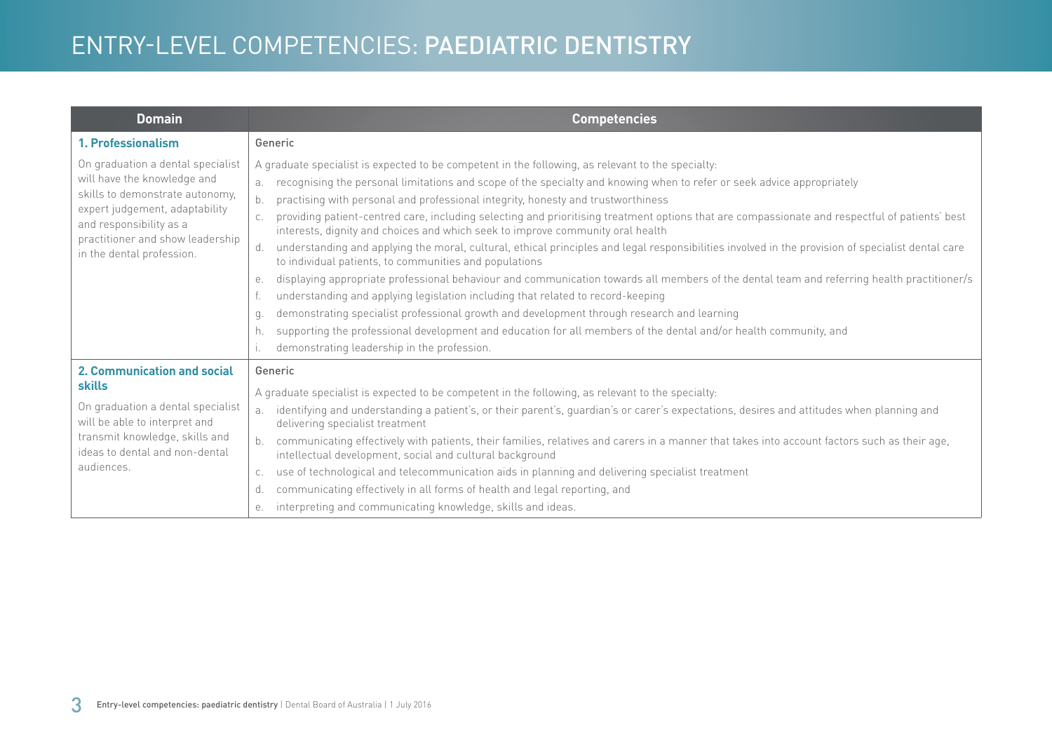# ENTRY-LEVEL COMPETENCIES: PAEDIATRIC DENTISTRY

| <b>Domain</b>                                                                                                                                                                                                                     | <b>Competencies</b>                                                                                                                                                                                                                                                                                                                                                                                                                                                                                                                                                                                                                                                                                                                                                                                                                                                                                                                                                                                                                                                                                                                                                                                                                                                                                |
|-----------------------------------------------------------------------------------------------------------------------------------------------------------------------------------------------------------------------------------|----------------------------------------------------------------------------------------------------------------------------------------------------------------------------------------------------------------------------------------------------------------------------------------------------------------------------------------------------------------------------------------------------------------------------------------------------------------------------------------------------------------------------------------------------------------------------------------------------------------------------------------------------------------------------------------------------------------------------------------------------------------------------------------------------------------------------------------------------------------------------------------------------------------------------------------------------------------------------------------------------------------------------------------------------------------------------------------------------------------------------------------------------------------------------------------------------------------------------------------------------------------------------------------------------|
| 1. Professionalism                                                                                                                                                                                                                | Generic                                                                                                                                                                                                                                                                                                                                                                                                                                                                                                                                                                                                                                                                                                                                                                                                                                                                                                                                                                                                                                                                                                                                                                                                                                                                                            |
| On graduation a dental specialist<br>will have the knowledge and<br>skills to demonstrate autonomy,<br>expert judgement, adaptability<br>and responsibility as a<br>practitioner and show leadership<br>in the dental profession. | A graduate specialist is expected to be competent in the following, as relevant to the specialty:<br>recognising the personal limitations and scope of the specialty and knowing when to refer or seek advice appropriately<br>practising with personal and professional integrity, honesty and trustworthiness<br>b.<br>providing patient-centred care, including selecting and prioritising treatment options that are compassionate and respectful of patients' best<br>interests, dignity and choices and which seek to improve community oral health<br>understanding and applying the moral, cultural, ethical principles and legal responsibilities involved in the provision of specialist dental care<br>d.<br>to individual patients, to communities and populations<br>displaying appropriate professional behaviour and communication towards all members of the dental team and referring health practitioner/s<br>е.<br>understanding and applying legislation including that related to record-keeping<br>demonstrating specialist professional growth and development through research and learning<br>q.<br>supporting the professional development and education for all members of the dental and/or health community, and<br>h.<br>demonstrating leadership in the profession. |
| 2. Communication and social<br><b>skills</b><br>On graduation a dental specialist<br>will be able to interpret and<br>transmit knowledge, skills and<br>ideas to dental and non-dental<br>audiences.                              | Generic<br>A graduate specialist is expected to be competent in the following, as relevant to the specialty:<br>identifying and understanding a patient's, or their parent's, guardian's or carer's expectations, desires and attitudes when planning and<br>a <sub>z</sub><br>delivering specialist treatment<br>communicating effectively with patients, their families, relatives and carers in a manner that takes into account factors such as their age,<br>intellectual development, social and cultural background<br>use of technological and telecommunication aids in planning and delivering specialist treatment<br>C.<br>communicating effectively in all forms of health and legal reporting, and<br>d.<br>interpreting and communicating knowledge, skills and ideas.<br>е.                                                                                                                                                                                                                                                                                                                                                                                                                                                                                                        |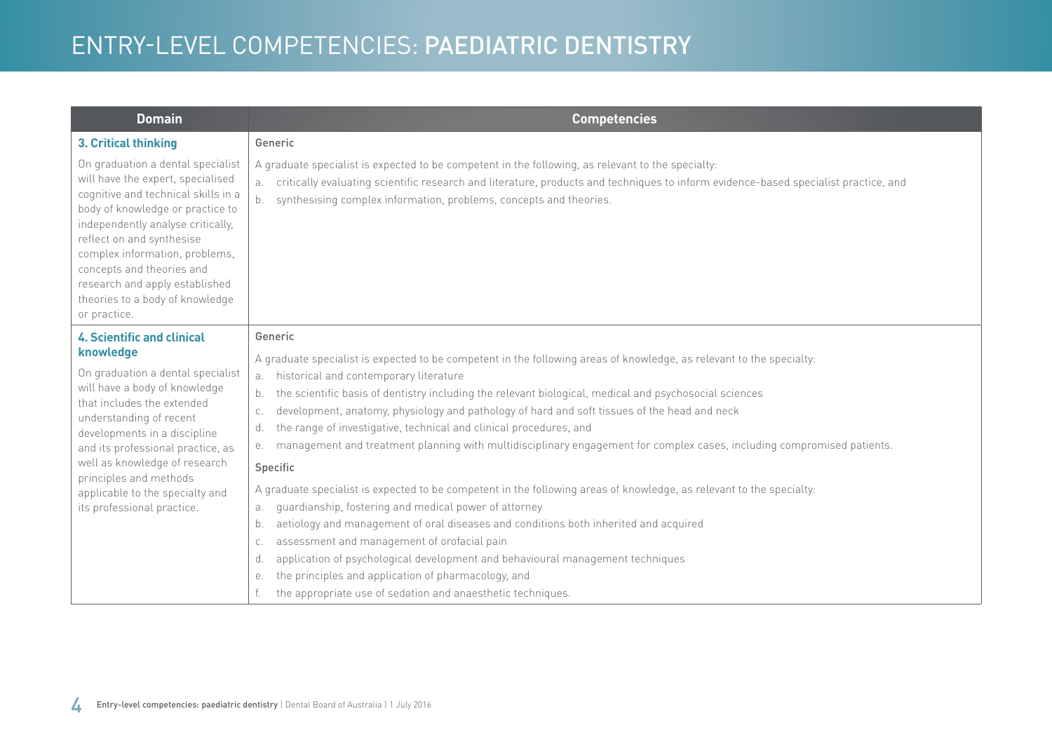# ENTRY-LEVEL COMPETENCIES: PAEDIATRIC DENTISTRY

| <b>Domain</b>                                                                                                                                                                                                                                                                                                                                                                  | <b>Competencies</b>                                                                                                                                                                                                                                                                                                        |
|--------------------------------------------------------------------------------------------------------------------------------------------------------------------------------------------------------------------------------------------------------------------------------------------------------------------------------------------------------------------------------|----------------------------------------------------------------------------------------------------------------------------------------------------------------------------------------------------------------------------------------------------------------------------------------------------------------------------|
| 3. Critical thinking                                                                                                                                                                                                                                                                                                                                                           | Generic                                                                                                                                                                                                                                                                                                                    |
| On graduation a dental specialist<br>will have the expert, specialised<br>cognitive and technical skills in a<br>body of knowledge or practice to<br>independently analyse critically,<br>reflect on and synthesise<br>complex information, problems,<br>concepts and theories and<br>research and apply established<br>theories to a body of knowledge<br>or practice.        | A graduate specialist is expected to be competent in the following, as relevant to the specialty:<br>critically evaluating scientific research and literature, products and techniques to inform evidence-based specialist practice, and<br>а.<br>synthesising complex information, problems, concepts and theories.<br>b. |
| <b>4. Scientific and clinical</b><br>knowledge<br>On graduation a dental specialist<br>will have a body of knowledge<br>that includes the extended<br>understanding of recent<br>developments in a discipline<br>and its professional practice, as<br>well as knowledge of research<br>principles and methods<br>applicable to the specialty and<br>its professional practice. | Generic                                                                                                                                                                                                                                                                                                                    |
|                                                                                                                                                                                                                                                                                                                                                                                | A graduate specialist is expected to be competent in the following areas of knowledge, as relevant to the specialty:                                                                                                                                                                                                       |
|                                                                                                                                                                                                                                                                                                                                                                                | historical and contemporary literature<br>a.<br>the scientific basis of dentistry including the relevant biological, medical and psychosocial sciences<br>b.                                                                                                                                                               |
|                                                                                                                                                                                                                                                                                                                                                                                | development, anatomy, physiology and pathology of hard and soft tissues of the head and neck<br>C.                                                                                                                                                                                                                         |
|                                                                                                                                                                                                                                                                                                                                                                                | the range of investigative, technical and clinical procedures, and<br>d.                                                                                                                                                                                                                                                   |
|                                                                                                                                                                                                                                                                                                                                                                                | management and treatment planning with multidisciplinary engagement for complex cases, including compromised patients.<br>е.                                                                                                                                                                                               |
|                                                                                                                                                                                                                                                                                                                                                                                | Specific                                                                                                                                                                                                                                                                                                                   |
|                                                                                                                                                                                                                                                                                                                                                                                | A graduate specialist is expected to be competent in the following areas of knowledge, as relevant to the specialty:                                                                                                                                                                                                       |
|                                                                                                                                                                                                                                                                                                                                                                                | guardianship, fostering and medical power of attorney<br>а.                                                                                                                                                                                                                                                                |
|                                                                                                                                                                                                                                                                                                                                                                                | aetiology and management of oral diseases and conditions both inherited and acquired<br>b.                                                                                                                                                                                                                                 |
|                                                                                                                                                                                                                                                                                                                                                                                | assessment and management of orofacial pain<br>C.                                                                                                                                                                                                                                                                          |
|                                                                                                                                                                                                                                                                                                                                                                                | application of psychological development and behavioural management techniques<br>d.                                                                                                                                                                                                                                       |
|                                                                                                                                                                                                                                                                                                                                                                                | the principles and application of pharmacology, and<br>е.                                                                                                                                                                                                                                                                  |
|                                                                                                                                                                                                                                                                                                                                                                                | the appropriate use of sedation and anaesthetic techniques.                                                                                                                                                                                                                                                                |